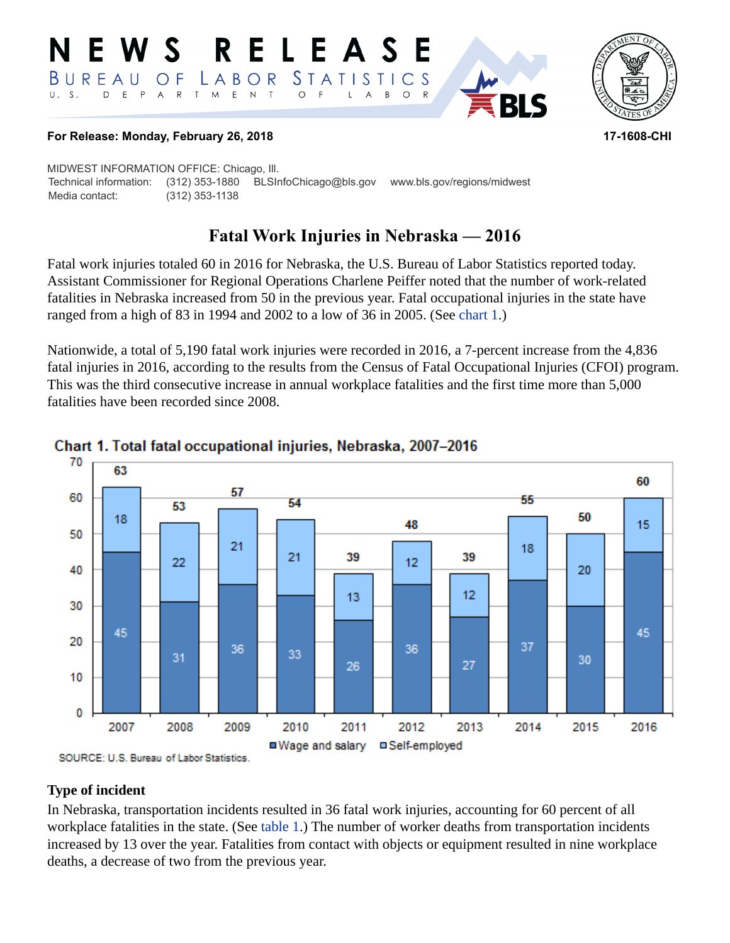#### NEWS RELEASE LABOR STATISTICS BUREAU  $\overline{O}$  F D E P A R T M E N T  $\circ$  $U. S.$  $\overline{F}$ L  $\overline{A}$  $B$ O R



**RLS** 

### **For Release: Monday, February 26, 2018 17-1608-CHI**

MIDWEST INFORMATION OFFICE: Chicago, Ill. Technical information: (312) 353-1880 BLSInfoChicago@bls.gov www.bls.gov/regions/midwest Media contact: (312) 353-1138

# **Fatal Work Injuries in Nebraska — 2016**

Fatal work injuries totaled 60 in 2016 for Nebraska, the U.S. Bureau of Labor Statistics reported today. Assistant Commissioner for Regional Operations Charlene Peiffer noted that the number of work-related fatalities in Nebraska increased from 50 in the previous year. Fatal occupational injuries in the state have ranged from a high of 83 in 1994 and 2002 to a low of 36 in 2005. (See [chart 1](#page-0-0).)

Nationwide, a total of 5,190 fatal work injuries were recorded in 2016, a 7-percent increase from the 4,836 fatal injuries in 2016, according to the results from the Census of Fatal Occupational Injuries (CFOI) program. This was the third consecutive increase in annual workplace fatalities and the first time more than 5,000 fatalities have been recorded since 2008.



## <span id="page-0-0"></span>Chart 1. Total fatal occupational injuries, Nebraska, 2007-2016

## **Type of incident**

In Nebraska, transportation incidents resulted in 36 fatal work injuries, accounting for 60 percent of all workplace fatalities in the state. (See [table 1](#page-3-0).) The number of worker deaths from transportation incidents increased by 13 over the year. Fatalities from contact with objects or equipment resulted in nine workplace deaths, a decrease of two from the previous year.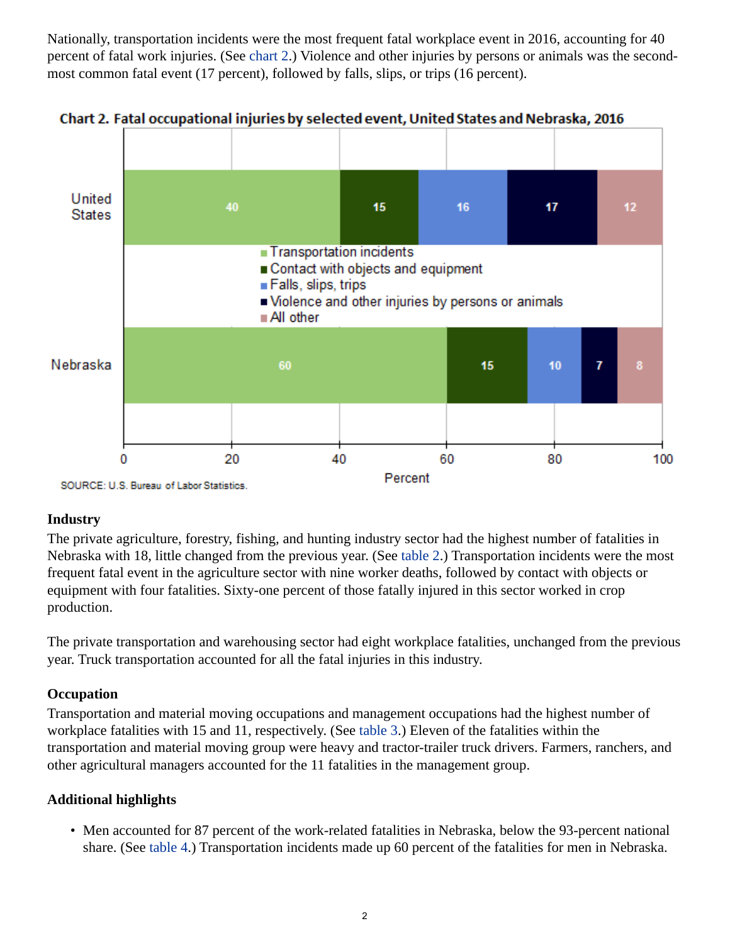Nationally, transportation incidents were the most frequent fatal workplace event in 2016, accounting for 40 percent of fatal work injuries. (See [chart 2](#page-1-0).) Violence and other injuries by persons or animals was the secondmost common fatal event (17 percent), followed by falls, slips, or trips (16 percent).



<span id="page-1-0"></span>Chart 2. Fatal occupational injuries by selected event, United States and Nebraska, 2016

# **Industry**

The private agriculture, forestry, fishing, and hunting industry sector had the highest number of fatalities in Nebraska with 18, little changed from the previous year. (See [table 2.](#page-4-0)) Transportation incidents were the most frequent fatal event in the agriculture sector with nine worker deaths, followed by contact with objects or equipment with four fatalities. Sixty-one percent of those fatally injured in this sector worked in crop production.

The private transportation and warehousing sector had eight workplace fatalities, unchanged from the previous year. Truck transportation accounted for all the fatal injuries in this industry.

## **Occupation**

Transportation and material moving occupations and management occupations had the highest number of workplace fatalities with 15 and 11, respectively. (See [table 3.](#page-5-0)) Eleven of the fatalities within the transportation and material moving group were heavy and tractor-trailer truck drivers. Farmers, ranchers, and other agricultural managers accounted for the 11 fatalities in the management group.

## **Additional highlights**

• Men accounted for 87 percent of the work-related fatalities in Nebraska, below the 93-percent national share. (See [table 4.](#page-6-0)) Transportation incidents made up 60 percent of the fatalities for men in Nebraska.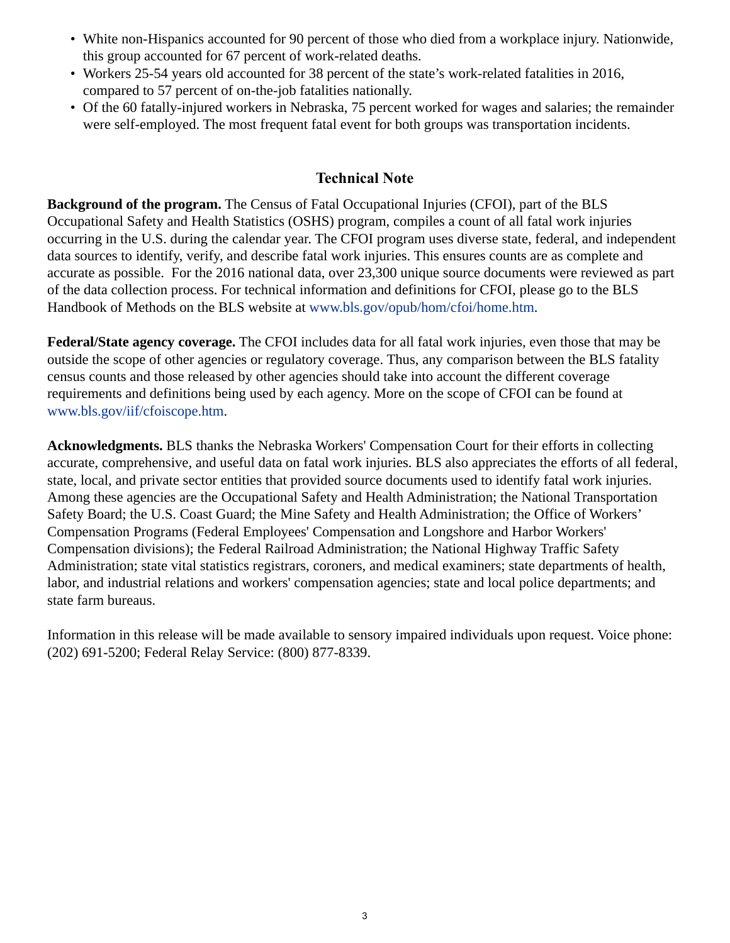- White non-Hispanics accounted for 90 percent of those who died from a workplace injury. Nationwide, this group accounted for 67 percent of work-related deaths.
- Workers 25-54 years old accounted for 38 percent of the state's work-related fatalities in 2016, compared to 57 percent of on-the-job fatalities nationally.
- Of the 60 fatally-injured workers in Nebraska, 75 percent worked for wages and salaries; the remainder were self-employed. The most frequent fatal event for both groups was transportation incidents.

## **Technical Note**

**Background of the program.** The Census of Fatal Occupational Injuries (CFOI), part of the BLS Occupational Safety and Health Statistics (OSHS) program, compiles a count of all fatal work injuries occurring in the U.S. during the calendar year. The CFOI program uses diverse state, federal, and independent data sources to identify, verify, and describe fatal work injuries. This ensures counts are as complete and accurate as possible. For the 2016 national data, over 23,300 unique source documents were reviewed as part of the data collection process. For technical information and definitions for CFOI, please go to the BLS Handbook of Methods on the BLS website at [www.bls.gov/opub/hom/cfoi/home.htm](https://www.bls.gov/opub/hom/cfoi/home.htm).

**Federal/State agency coverage.** The CFOI includes data for all fatal work injuries, even those that may be outside the scope of other agencies or regulatory coverage. Thus, any comparison between the BLS fatality census counts and those released by other agencies should take into account the different coverage requirements and definitions being used by each agency. More on the scope of CFOI can be found at [www.bls.gov/iif/cfoiscope.htm.](https://www.bls.gov/iif/cfoiscope.htm)

**Acknowledgments.** BLS thanks the Nebraska Workers' Compensation Court for their efforts in collecting accurate, comprehensive, and useful data on fatal work injuries. BLS also appreciates the efforts of all federal, state, local, and private sector entities that provided source documents used to identify fatal work injuries. Among these agencies are the Occupational Safety and Health Administration; the National Transportation Safety Board; the U.S. Coast Guard; the Mine Safety and Health Administration; the Office of Workers' Compensation Programs (Federal Employees' Compensation and Longshore and Harbor Workers' Compensation divisions); the Federal Railroad Administration; the National Highway Traffic Safety Administration; state vital statistics registrars, coroners, and medical examiners; state departments of health, labor, and industrial relations and workers' compensation agencies; state and local police departments; and state farm bureaus.

Information in this release will be made available to sensory impaired individuals upon request. Voice phone: (202) 691-5200; Federal Relay Service: (800) 877-8339.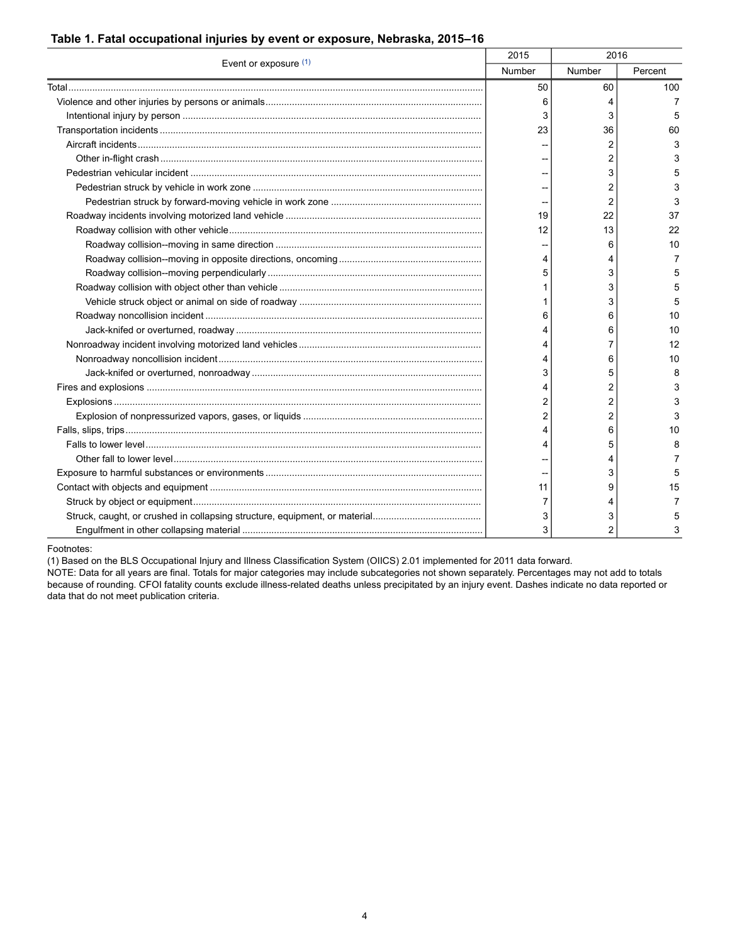### <span id="page-3-0"></span>**Table 1. Fatal occupational injuries by event or exposure, Nebraska, 2015–16**

| Event or exposure (1) | 2015          | 2016           |         |
|-----------------------|---------------|----------------|---------|
|                       | <b>Number</b> | Number         | Percent |
|                       | 50            | 60             | 100     |
|                       | 6             | 4              | 7       |
|                       | 3             | 3              | 5       |
|                       | 23            | 36             | 60      |
|                       |               | 2              | 3       |
|                       |               | 2              | 3       |
|                       |               | 3              | 5       |
|                       |               | 2              | 3       |
|                       |               | 2              | 3       |
|                       | 19            | 22             | 37      |
|                       | 12            | 13             | 22      |
|                       |               | 6              | 10      |
|                       | 4             | 4              | 7       |
|                       | 5             | 3              | 5       |
|                       |               | 3              | 5       |
|                       |               | 3              | 5       |
|                       | 6             | 6              | 10      |
|                       |               | 6              | 10      |
|                       |               | 7              | 12      |
|                       |               | 6              | 10      |
|                       | 3             | 5              | 8       |
|                       |               | 2              | 3       |
|                       | 2             | 2              | 3       |
|                       | 2             | 2              | 3       |
|                       |               | 6              | 10      |
|                       | 4             | 5              | 8       |
|                       |               | 4              | 7       |
|                       |               | 3              | 5       |
|                       | 11            | 9              | 15      |
|                       | 7             | 4              | 7       |
|                       | 3             | 3              | 5       |
|                       | 3             | $\overline{c}$ | 3       |

Footnotes:

<span id="page-3-1"></span>(1) Based on the BLS Occupational Injury and Illness Classification System (OIICS) 2.01 implemented for 2011 data forward.

NOTE: Data for all years are final. Totals for major categories may include subcategories not shown separately. Percentages may not add to totals because of rounding. CFOI fatality counts exclude illness-related deaths unless precipitated by an injury event. Dashes indicate no data reported or data that do not meet publication criteria.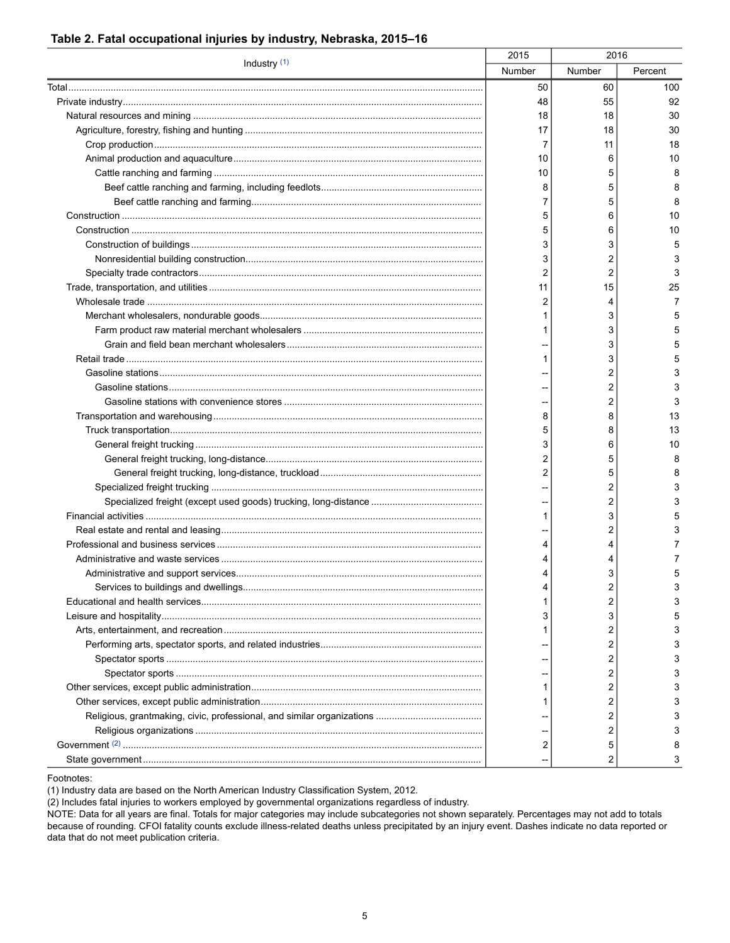#### 2015 2016 Industry $(1)$ Number Number 50 60 48 55 18 18  $17$ 18  $\overline{7}$ 11 10 6 10  $\overline{5}$ 8 5  $\overline{7}$  $\overline{5}$  $\mathbf 5$ 6  $\overline{5}$ 6  $\mathbf{3}$ 3 3  $\overline{2}$  $\overline{2}$  $\overline{2}$  $11$ 15  $\boldsymbol{2}$ 4  $\mathbf{1}$ 3  $\mathbf{1}$ 3 3 3  $\mathbf{1}$  $\boldsymbol{2}$  $\boldsymbol{2}$  $\boldsymbol{2}$ 8 8  $\overline{5}$ 8 3 6  $\boldsymbol{2}$ 5  $\overline{2}$ 5  $\overline{2}$  $\boldsymbol{2}$ 3  $\mathbf{1}$  $\boldsymbol{2}$  $\overline{\mathbf{4}}$ 4  $\overline{4}$ 4  $\overline{\mathbf{4}}$ 3  $\overline{\mathbf{4}}$  $\boldsymbol{2}$  $\overline{c}$  $\mathbf{1}$  $\ensuremath{\mathsf{3}}$  $\ensuremath{\mathsf{3}}$  $\boldsymbol{2}$  $\mathbf{1}$  $\overline{2}$  $\boldsymbol{2}$  $\overline{2}$  $\overline{\phantom{a}}$  $\overline{c}$  $\mathbf{1}$  $\boldsymbol{2}$  $\mathbf{1}$

Percent

100

92

30

30

18

10

8

8

8

10

10

5

3

3

25

 $\overline{7}$ 

5

5

5

 $\overline{5}$ 

3

3

3

13

13

10

8

8

3

3

 $\overline{5}$ 

3

 $\overline{7}$ 

 $\overline{7}$ 

5

3

3

5

3

3

3

3

3

3

3

3

8

3

 $\overline{c}$ 

 $\overline{2}$ 

 $\overline{5}$ 

 $\overline{c}$ 

 $\overline{c}$ 

#### <span id="page-4-0"></span>Table 2. Fatal occupational injuries by industry, Nebraska, 2015-16

Footnotes:

<span id="page-4-1"></span>(1) Industry data are based on the North American Industry Classification System, 2012.

<span id="page-4-2"></span>(2) Includes fatal injuries to workers employed by governmental organizations regardless of industry.

NOTE: Data for all years are final. Totals for major categories may include subcategories not shown separately. Percentages may not add to totals because of rounding. CFOI fatality counts exclude illness-related deaths unless precipitated by an injury event. Dashes indicate no data reported or data that do not meet publication criteria.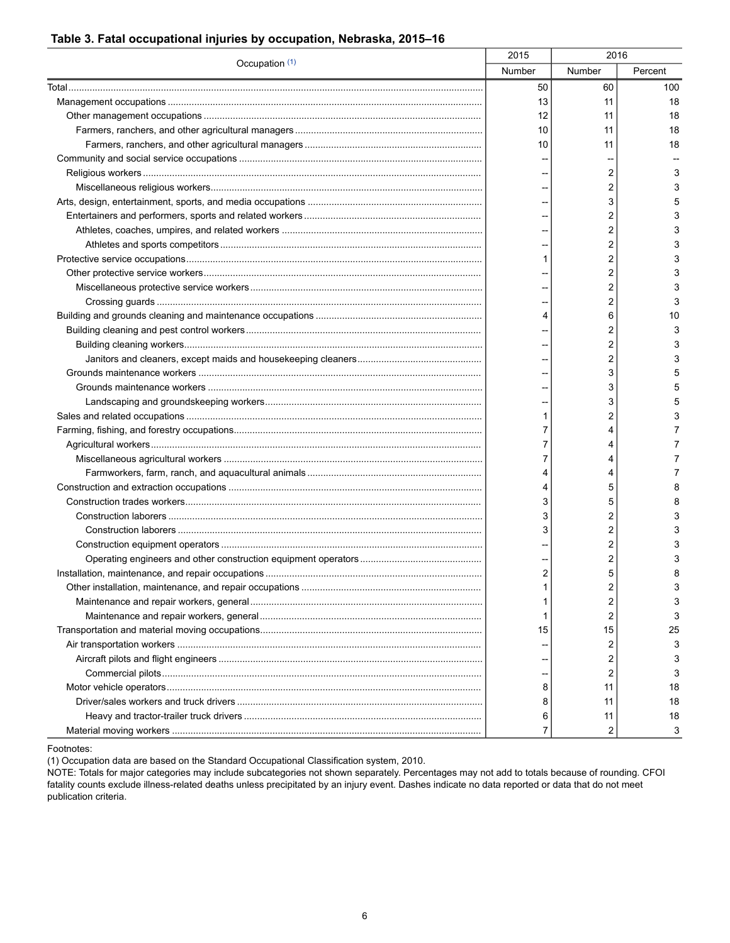### <span id="page-5-0"></span>**Table 3. Fatal occupational injuries by occupation, Nebraska, 2015–16**

| Occupation (1) | 2015   | 2016   |         |
|----------------|--------|--------|---------|
|                | Number | Number | Percent |
|                | 50     | 60     | 100     |
|                | 13     | 11     | 18      |
|                | 12     | 11     | 18      |
|                | 10     | 11     | 18      |
|                | 10     | 11     | 18      |
|                |        |        |         |
|                |        | 2      | 3       |
|                |        | 2      | 3       |
|                |        | 3      | 5       |
|                |        | 2      | 3       |
|                |        | 2      | 3       |
|                |        | 2      | 3       |
|                | 1      | 2      | 3       |
|                |        | 2      | 3       |
|                |        | 2      | 3       |
|                |        | 2      | 3       |
|                | 4      | 6      | 10      |
|                |        | 2      | 3       |
|                |        | 2      | 3       |
|                |        | 2      | 3       |
|                |        | 3      | 5       |
|                |        | 3      | 5       |
|                |        | 3      | 5       |
|                |        | 2      | 3       |
|                |        |        |         |
|                | 7      | 4      | 7       |
|                | 7      | 4      | 7       |
|                | 7      | 4      | 7       |
|                | 4      | 4      | 7       |
|                | 4      | 5      | 8       |
|                | 3      | 5      | 8       |
|                | 3      | 2      | 3       |
|                | 3      | 2      | 3       |
|                |        | 2      | 3       |
|                |        | 2      | 3       |
|                | 2      | 5      | 8       |
|                |        | 2      | 3       |
|                | 1      | 2      | 3       |
|                | 1      | 2      | 3       |
|                | 15     | 15     | 25      |
|                |        | 2      | 3       |
|                |        | 2      | 3       |
|                |        | 2      | 3       |
|                | 8      | 11     | 18      |
|                | 8      | 11     | 18      |
|                | 6      | 11     | 18      |
|                | 7      | 2      | 3       |

Footnotes:

<span id="page-5-1"></span>(1) Occupation data are based on the Standard Occupational Classification system, 2010.

NOTE: Totals for major categories may include subcategories not shown separately. Percentages may not add to totals because of rounding. CFOI fatality counts exclude illness-related deaths unless precipitated by an injury event. Dashes indicate no data reported or data that do not meet publication criteria.